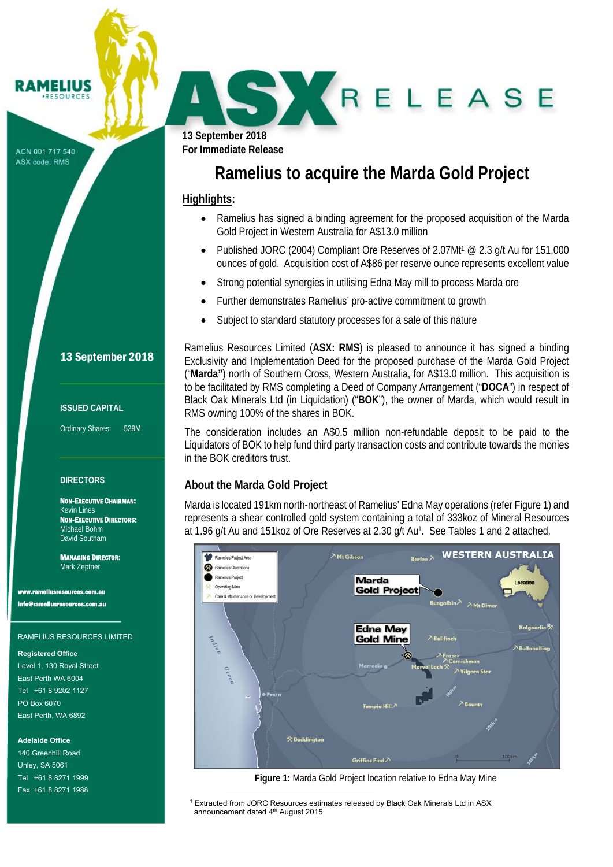#### **? AMELIUS RESOURCE**

ACN 001 717 540 ASX code: RMS

**13 September 2018 For Immediate Release** 

r

# **Ramelius to acquire the Marda Gold Project**

### **Highlights:**

J

• Ramelius has signed a binding agreement for the proposed acquisition of the Marda Gold Project in Western Australia for A\$13.0 million

SKRELEASE

- Published JORC (2004) Compliant Ore Reserves of 2.07Mt<sup>1</sup> @ 2.3 g/t Au for 151,000 ounces of gold. Acquisition cost of A\$86 per reserve ounce represents excellent value
- Strong potential synergies in utilising Edna May mill to process Marda ore
- Further demonstrates Ramelius' pro-active commitment to growth
- Subject to standard statutory processes for a sale of this nature

Ramelius Resources Limited (**ASX: RMS**) is pleased to announce it has signed a binding Exclusivity and Implementation Deed for the proposed purchase of the Marda Gold Project ("**Marda"**) north of Southern Cross, Western Australia, for A\$13.0 million. This acquisition is to be facilitated by RMS completing a Deed of Company Arrangement ("**DOCA**") in respect of Black Oak Minerals Ltd (in Liquidation) ("**BOK**"), the owner of Marda, which would result in RMS owning 100% of the shares in BOK.

The consideration includes an A\$0.5 million non-refundable deposit to be paid to the Liquidators of BOK to help fund third party transaction costs and contribute towards the monies in the BOK creditors trust.

### **About the Marda Gold Project**

 $\overline{\phantom{0}}$ 

Marda is located 191km north-northeast of Ramelius' Edna May operations (refer Figure 1) and represents a shear controlled gold system containing a total of 333koz of Mineral Resources at 1.96 g/t Au and 151koz of Ore Reserves at 2.30 g/t Au1. See Tables 1 and 2 attached.



**Figure 1:** Marda Gold Project location relative to Edna May Mine

<sup>1</sup> Extracted from JORC Resources estimates released by Black Oak Minerals Ltd in ASX announcement dated 4<sup>th</sup> August 2015

### 13 September 2018

#### **ISSUED CAPITAL**

Ordinary Shares: 528M

### **DIRECTORS**

NON-EXECUTIVE CHAIRMAN: Kevin Lines NON-EXECUTIVE DIRECTORS: Michael Bohm David Southam

MANAGING DIRECTOR: Mark Zeptner

**sresources.com.au** info@rameliusresources.com.au

#### RAMELIUS RESOURCES LIMITED

#### **Registered Office**

Level 1, 130 Royal Street East Perth WA 6004 Tel +61 8 9202 1127 PO Box 6070 East Perth, WA 6892

### **Adelaide Office**

140 Greenhill Road Unley, SA 5061 Tel +61 8 8271 1999 Fax +61 8 8271 1988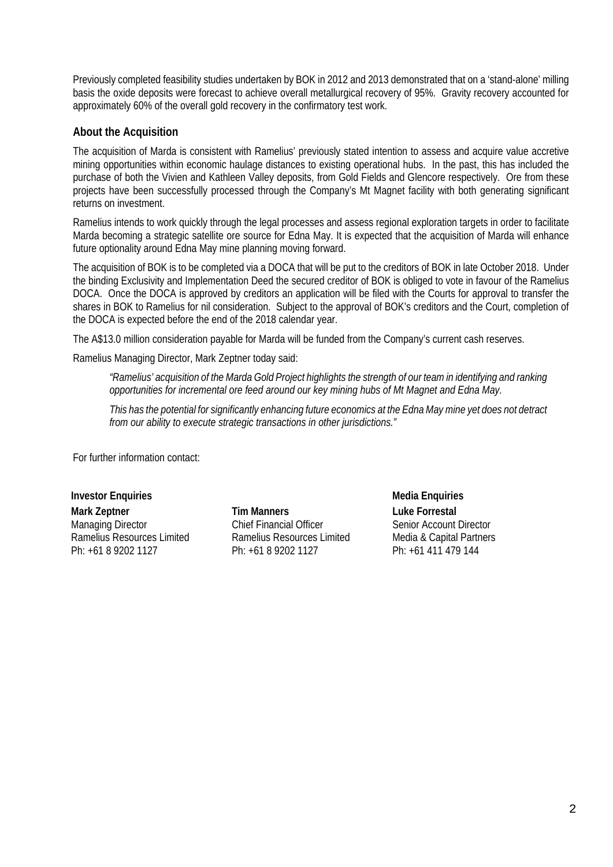Previously completed feasibility studies undertaken by BOK in 2012 and 2013 demonstrated that on a 'stand-alone' milling basis the oxide deposits were forecast to achieve overall metallurgical recovery of 95%. Gravity recovery accounted for approximately 60% of the overall gold recovery in the confirmatory test work.

### **About the Acquisition**

The acquisition of Marda is consistent with Ramelius' previously stated intention to assess and acquire value accretive mining opportunities within economic haulage distances to existing operational hubs. In the past, this has included the purchase of both the Vivien and Kathleen Valley deposits, from Gold Fields and Glencore respectively. Ore from these projects have been successfully processed through the Company's Mt Magnet facility with both generating significant returns on investment.

Ramelius intends to work quickly through the legal processes and assess regional exploration targets in order to facilitate Marda becoming a strategic satellite ore source for Edna May. It is expected that the acquisition of Marda will enhance future optionality around Edna May mine planning moving forward.

The acquisition of BOK is to be completed via a DOCA that will be put to the creditors of BOK in late October 2018. Under the binding Exclusivity and Implementation Deed the secured creditor of BOK is obliged to vote in favour of the Ramelius DOCA. Once the DOCA is approved by creditors an application will be filed with the Courts for approval to transfer the shares in BOK to Ramelius for nil consideration. Subject to the approval of BOK's creditors and the Court, completion of the DOCA is expected before the end of the 2018 calendar year.

The A\$13.0 million consideration payable for Marda will be funded from the Company's current cash reserves.

Ramelius Managing Director, Mark Zeptner today said:

*"Ramelius' acquisition of the Marda Gold Project highlights the strength of our team in identifying and ranking opportunities for incremental ore feed around our key mining hubs of Mt Magnet and Edna May.* 

*This has the potential for significantly enhancing future economics at the Edna May mine yet does not detract from our ability to execute strategic transactions in other jurisdictions."* 

For further information contact:

**Investor Enquiries and Secure 2018** and Security Media Enquiries **Media Enquiries Mark Zeptner**  Managing Director Ramelius Resources Limited Ph: +61 8 9202 1127

**Tim Manners**  Chief Financial Officer Ramelius Resources Limited Ph: +61 8 9202 1127

**Luke Forrestal** Senior Account Director Media & Capital Partners Ph: +61 411 479 144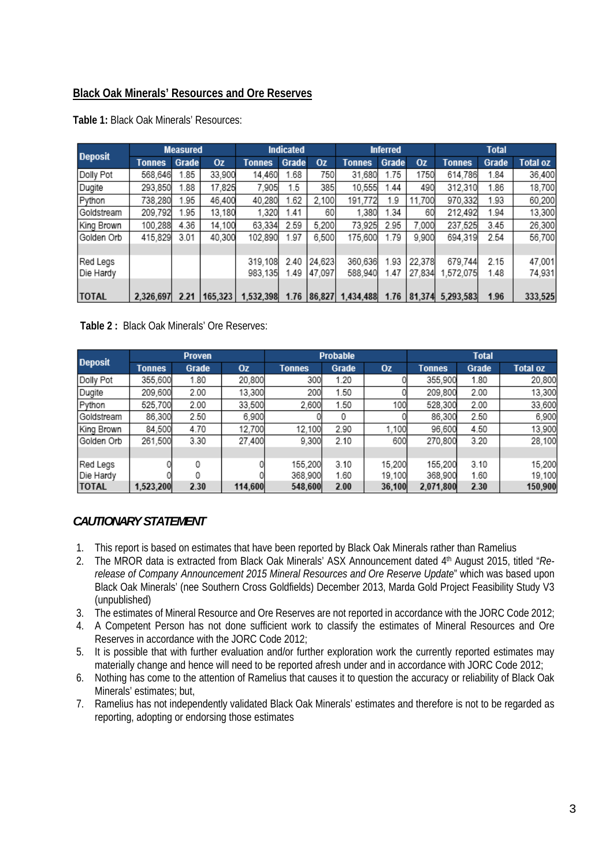## **Black Oak Minerals' Resources and Ore Reserves**

| <b>Deposit</b> | <b>Measured</b> |       |         | <b>Indicated</b> |       |           | <b>Inferred</b> |       |           | <b>Total</b>  |       |                 |
|----------------|-----------------|-------|---------|------------------|-------|-----------|-----------------|-------|-----------|---------------|-------|-----------------|
|                | Tonnes          | Grade | Oz      | <b>Tonnes</b>    | Grade | <b>Oz</b> | <b>Tonnes</b>   | Grade | <b>Oz</b> | <b>Tonnes</b> | Grade | <b>Total oz</b> |
| Dolly Pot      | 568,646         | .85   | 33,900  | 14,460           | 1.68  | 750       | 31.680          | 1.75  | 1750      | 614,786       | 1.84  | 36,400          |
| Dugite         | 293.850         | .88   | 17,825  | 7.905            | 1.5   | 385       | 10.555          | 1.44  | 490       | 312,310       | 1.86  | 18,700          |
| Python         | 738,280         | .95   | 46,400  | 40,280           | 1.62  | 2,100     | 191,772         | 1.9   | 11,700    | 970,332       | 1.93  | 60,200          |
| Goldstream     | 209,792         | .95   | 13,180  | 1,320            | 1.41  | 60        | 1.380           | .34   | 60        | 212,492       | 1.94  | 13,300          |
| King Brown     | 100,288         | 4.36  | 14,100  | 63,334           | 2.59  | 5,200     | 73,925          | 2.95  | 7,000     | 237,525       | 3.45  | 26,300          |
| Golden Orb     | 415,829         | 3.01  | 40,300  | 102.890          | 1.97  | 6,500     | 175,600         | 1.79  | 9,900     | 694,319       | 2.54  | 56,700          |
|                |                 |       |         |                  |       |           |                 |       |           |               |       |                 |
| Red Legs       |                 |       |         | 319.108          | 2.40  | 24,623    | 360,636         | 1.93  | 22.378    | 679,744       | 2.15  | 47,001          |
| Die Hardy      |                 |       |         | 983,135          | 1.49  | 47,097    | 588,940         | 1.47  | 27,834    | .572.075      | 1.48  | 74,931          |
|                |                 |       |         |                  |       |           |                 |       |           |               |       |                 |
| <b>TOTAL</b>   | 2,326,697       | 2.21  | 165,323 | 1.532.398        | 1.76  | 86.827    | 1,434,488       | 1.76  | 81.374    | 5.293.583     | 1.96  | 333,525         |

**Table 1:** Black Oak Minerals' Resources:

### **Table 2 :** Black Oak Minerals' Ore Reserves:

| <b>Deposit</b> |               | <b>Proven</b> |           |               | <b>Probable</b> |        | <b>Total</b>  |       |                 |  |
|----------------|---------------|---------------|-----------|---------------|-----------------|--------|---------------|-------|-----------------|--|
|                | <b>Tonnes</b> | Grade         | <b>Oz</b> | <b>Tonnes</b> | Grade           | 0z     | <b>Tonnes</b> | Grade | <b>Total oz</b> |  |
| Dolly Pot      | 355,600       | 1.80          | 20,800    | 300           | 1.20            |        | 355,900       | 1.80  | 20,800          |  |
| Dugite         | 209,600       | 2.00          | 13,300    | 200           | 1.50            |        | 209,800       | 2.00  | 13,300          |  |
| Python         | 525.700       | 2.00          | 33,500    | 2.600         | 1.50            | 100    | 528,300       | 2.00  | 33,600          |  |
| Goldstream     | 86,300        | 2.50          | 6,900     |               | 0               |        | 86,300        | 2.50  | 6,900           |  |
| King Brown     | 84,500        | 4.70          | 12,700    | 12,100        | 2.90            | 1,100  | 96,600        | 4.50  | 13,900          |  |
| Golden Orb     | 261.500       | 3.30          | 27.400    | 9.300         | 2.10            | 600    | 270,800       | 3.20  | 28,100          |  |
|                |               |               |           |               |                 |        |               |       |                 |  |
| Red Legs       |               | 0             |           | 155,200       | 3.10            | 15.200 | 155,200       | 3.10  | 15,200          |  |
| Die Hardy      |               | 0             |           | 368,900       | 1.60            | 19,100 | 368,900       | 1.60  | 19,100          |  |
| <b>TOTAL</b>   | 1,523,200     | 2.30          | 114,600   | 548,600       | 2.00            | 36,100 | 2.071.800     | 2.30  | 150,900         |  |

# *CAUTIONARY STATEMENT*

- 1. This report is based on estimates that have been reported by Black Oak Minerals rather than Ramelius
- 2. The MROR data is extracted from Black Oak Minerals' ASX Announcement dated 4th August 2015, titled "*Rerelease of Company Announcement 2015 Mineral Resources and Ore Reserve Update*" which was based upon Black Oak Minerals' (nee Southern Cross Goldfields) December 2013, Marda Gold Project Feasibility Study V3 (unpublished)
- 3. The estimates of Mineral Resource and Ore Reserves are not reported in accordance with the JORC Code 2012;
- 4. A Competent Person has not done sufficient work to classify the estimates of Mineral Resources and Ore Reserves in accordance with the JORC Code 2012;
- 5. It is possible that with further evaluation and/or further exploration work the currently reported estimates may materially change and hence will need to be reported afresh under and in accordance with JORC Code 2012;
- 6. Nothing has come to the attention of Ramelius that causes it to question the accuracy or reliability of Black Oak Minerals' estimates; but,
- 7. Ramelius has not independently validated Black Oak Minerals' estimates and therefore is not to be regarded as reporting, adopting or endorsing those estimates